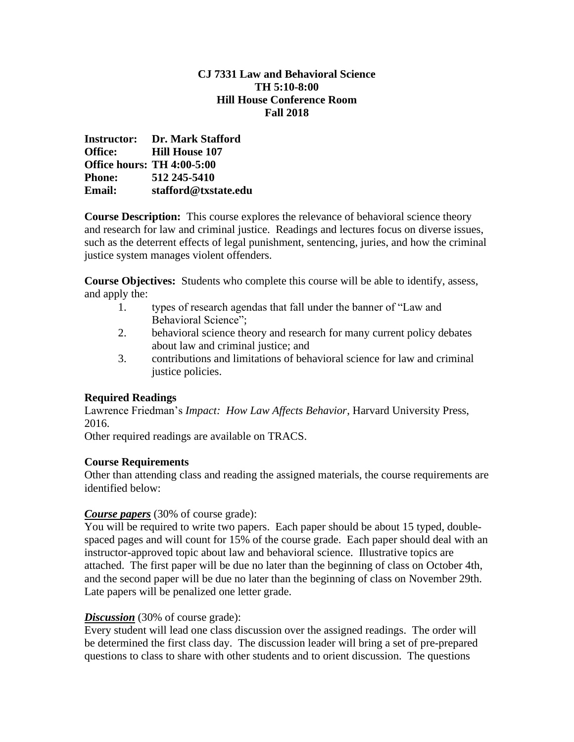#### **CJ 7331 Law and Behavioral Science TH 5:10-8:00 Hill House Conference Room Fall 2018**

|                | <b>Instructor:</b> Dr. Mark Stafford |
|----------------|--------------------------------------|
| <b>Office:</b> | <b>Hill House 107</b>                |
|                | <b>Office hours: TH 4:00-5:00</b>    |
| <b>Phone:</b>  | 512 245-5410                         |
| Email:         | stafford@txstate.edu                 |

**Course Description:** This course explores the relevance of behavioral science theory and research for law and criminal justice. Readings and lectures focus on diverse issues, such as the deterrent effects of legal punishment, sentencing, juries, and how the criminal justice system manages violent offenders.

**Course Objectives:** Students who complete this course will be able to identify, assess, and apply the:

- 1. types of research agendas that fall under the banner of "Law and Behavioral Science";
- 2. behavioral science theory and research for many current policy debates about law and criminal justice; and
- 3. contributions and limitations of behavioral science for law and criminal justice policies.

## **Required Readings**

Lawrence Friedman's *Impact: How Law Affects Behavior*, Harvard University Press, 2016.

Other required readings are available on TRACS.

### **Course Requirements**

Other than attending class and reading the assigned materials, the course requirements are identified below:

### *Course papers* (30% of course grade):

You will be required to write two papers. Each paper should be about 15 typed, doublespaced pages and will count for 15% of the course grade. Each paper should deal with an instructor-approved topic about law and behavioral science. Illustrative topics are attached. The first paper will be due no later than the beginning of class on October 4th, and the second paper will be due no later than the beginning of class on November 29th. Late papers will be penalized one letter grade.

### **Discussion** (30% of course grade):

Every student will lead one class discussion over the assigned readings. The order will be determined the first class day. The discussion leader will bring a set of pre-prepared questions to class to share with other students and to orient discussion. The questions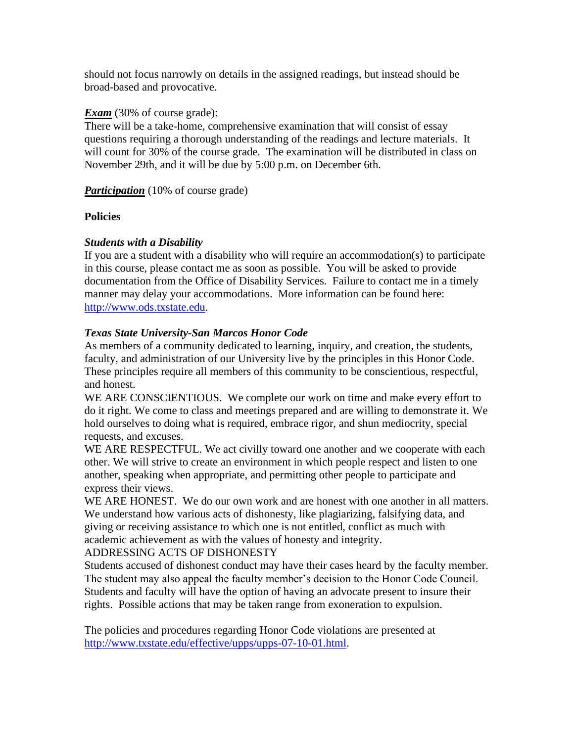should not focus narrowly on details in the assigned readings, but instead should be broad-based and provocative.

#### **Exam** (30% of course grade):

There will be a take-home, comprehensive examination that will consist of essay questions requiring a thorough understanding of the readings and lecture materials. It will count for 30% of the course grade. The examination will be distributed in class on November 29th, and it will be due by 5:00 p.m. on December 6th.

*Participation* (10% of course grade)

### **Policies**

### *Students with a Disability*

If you are a student with a disability who will require an accommodation(s) to participate in this course, please contact me as soon as possible. You will be asked to provide documentation from the Office of Disability Services. Failure to contact me in a timely manner may delay your accommodations. More information can be found here: [http://www.ods.txstate.edu.](http://www.ods.txstate.edu/)

#### *Texas State University-San Marcos Honor Code*

As members of a community dedicated to learning, inquiry, and creation, the students, faculty, and administration of our University live by the principles in this Honor Code. These principles require all members of this community to be conscientious, respectful, and honest.

WE ARE CONSCIENTIOUS. We complete our work on time and make every effort to do it right. We come to class and meetings prepared and are willing to demonstrate it. We hold ourselves to doing what is required, embrace rigor, and shun mediocrity, special requests, and excuses.

WE ARE RESPECTFUL. We act civilly toward one another and we cooperate with each other. We will strive to create an environment in which people respect and listen to one another, speaking when appropriate, and permitting other people to participate and express their views.

WE ARE HONEST. We do our own work and are honest with one another in all matters. We understand how various acts of dishonesty, like plagiarizing, falsifying data, and giving or receiving assistance to which one is not entitled, conflict as much with academic achievement as with the values of honesty and integrity.

#### ADDRESSING ACTS OF DISHONESTY

Students accused of dishonest conduct may have their cases heard by the faculty member. The student may also appeal the faculty member's decision to the Honor Code Council. Students and faculty will have the option of having an advocate present to insure their rights. Possible actions that may be taken range from exoneration to expulsion.

The policies and procedures regarding Honor Code violations are presented at [http://www.txstate.edu/effective/upps/upps-07-10-01.html.](http://www.txstate.edu/effective/upps/upps-07-10-01.html)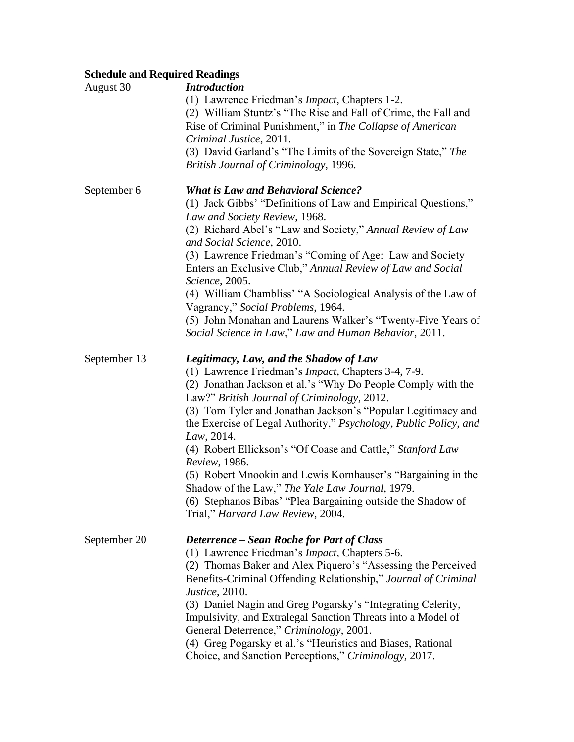# **Schedule and Required Readings**

| August 30    | <b>Introduction</b><br>(1) Lawrence Friedman's <i>Impact</i> , Chapters 1-2.<br>(2) William Stuntz's "The Rise and Fall of Crime, the Fall and<br>Rise of Criminal Punishment," in The Collapse of American<br>Criminal Justice, 2011.<br>(3) David Garland's "The Limits of the Sovereign State," The<br>British Journal of Criminology, 1996.                                                                                                                                                                                                                                                                                                                             |
|--------------|-----------------------------------------------------------------------------------------------------------------------------------------------------------------------------------------------------------------------------------------------------------------------------------------------------------------------------------------------------------------------------------------------------------------------------------------------------------------------------------------------------------------------------------------------------------------------------------------------------------------------------------------------------------------------------|
| September 6  | <b>What is Law and Behavioral Science?</b><br>(1) Jack Gibbs' "Definitions of Law and Empirical Questions,"<br>Law and Society Review, 1968.<br>(2) Richard Abel's "Law and Society," Annual Review of Law<br>and Social Science, 2010.<br>(3) Lawrence Friedman's "Coming of Age: Law and Society<br>Enters an Exclusive Club," Annual Review of Law and Social<br>Science, 2005.<br>(4) William Chambliss' "A Sociological Analysis of the Law of<br>Vagrancy," Social Problems, 1964.<br>(5) John Monahan and Laurens Walker's "Twenty-Five Years of<br>Social Science in Law," Law and Human Behavior, 2011.                                                            |
| September 13 | Legitimacy, Law, and the Shadow of Law<br>(1) Lawrence Friedman's <i>Impact</i> , Chapters 3-4, 7-9.<br>(2) Jonathan Jackson et al.'s "Why Do People Comply with the<br>Law?" British Journal of Criminology, 2012.<br>(3) Tom Tyler and Jonathan Jackson's "Popular Legitimacy and<br>the Exercise of Legal Authority," Psychology, Public Policy, and<br>Law, 2014.<br>(4) Robert Ellickson's "Of Coase and Cattle," Stanford Law<br>Review, 1986.<br>(5) Robert Mnookin and Lewis Kornhauser's "Bargaining in the<br>Shadow of the Law," The Yale Law Journal, 1979.<br>(6) Stephanos Bibas' "Plea Bargaining outside the Shadow of<br>Trial," Harvard Law Review, 2004. |
| September 20 | <b>Deterrence – Sean Roche for Part of Class</b><br>(1) Lawrence Friedman's <i>Impact</i> , Chapters 5-6.<br>(2) Thomas Baker and Alex Piquero's "Assessing the Perceived<br>Benefits-Criminal Offending Relationship," Journal of Criminal<br>Justice, 2010.<br>(3) Daniel Nagin and Greg Pogarsky's "Integrating Celerity,<br>Impulsivity, and Extralegal Sanction Threats into a Model of<br>General Deterrence," Criminology, 2001.<br>(4) Greg Pogarsky et al.'s "Heuristics and Biases, Rational<br>Choice, and Sanction Perceptions," Criminology, 2017.                                                                                                             |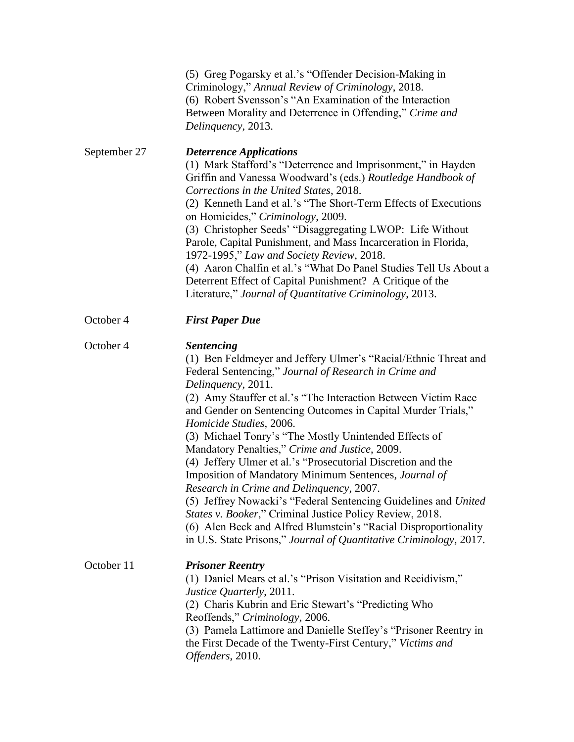|              | (5) Greg Pogarsky et al.'s "Offender Decision-Making in<br>Criminology," Annual Review of Criminology, 2018.<br>(6) Robert Svensson's "An Examination of the Interaction<br>Between Morality and Deterrence in Offending," Crime and<br>Delinquency, 2013.                                                                                                                                                                                                                                                                                                                                                                                                                                                                                                                                                                                                                               |
|--------------|------------------------------------------------------------------------------------------------------------------------------------------------------------------------------------------------------------------------------------------------------------------------------------------------------------------------------------------------------------------------------------------------------------------------------------------------------------------------------------------------------------------------------------------------------------------------------------------------------------------------------------------------------------------------------------------------------------------------------------------------------------------------------------------------------------------------------------------------------------------------------------------|
| September 27 | <b>Deterrence Applications</b><br>(1) Mark Stafford's "Deterrence and Imprisonment," in Hayden<br>Griffin and Vanessa Woodward's (eds.) Routledge Handbook of<br>Corrections in the United States, 2018.<br>(2) Kenneth Land et al.'s "The Short-Term Effects of Executions<br>on Homicides," Criminology, 2009.<br>(3) Christopher Seeds' "Disaggregating LWOP: Life Without<br>Parole, Capital Punishment, and Mass Incarceration in Florida,<br>1972-1995," Law and Society Review, 2018.<br>(4) Aaron Chalfin et al.'s "What Do Panel Studies Tell Us About a<br>Deterrent Effect of Capital Punishment? A Critique of the<br>Literature," Journal of Quantitative Criminology, 2013.                                                                                                                                                                                                |
| October 4    | <b>First Paper Due</b>                                                                                                                                                                                                                                                                                                                                                                                                                                                                                                                                                                                                                                                                                                                                                                                                                                                                   |
| October 4    | <b>Sentencing</b><br>(1) Ben Feldmeyer and Jeffery Ulmer's "Racial/Ethnic Threat and<br>Federal Sentencing," Journal of Research in Crime and<br>Delinquency, 2011.<br>(2) Amy Stauffer et al.'s "The Interaction Between Victim Race<br>and Gender on Sentencing Outcomes in Capital Murder Trials,"<br>Homicide Studies, 2006.<br>(3) Michael Tonry's "The Mostly Unintended Effects of<br>Mandatory Penalties," Crime and Justice, 2009.<br>(4) Jeffery Ulmer et al.'s "Prosecutorial Discretion and the<br>Imposition of Mandatory Minimum Sentences, Journal of<br>Research in Crime and Delinquency, 2007.<br>(5) Jeffrey Nowacki's "Federal Sentencing Guidelines and United<br>States v. Booker," Criminal Justice Policy Review, 2018.<br>(6) Alen Beck and Alfred Blumstein's "Racial Disproportionality<br>in U.S. State Prisons," Journal of Quantitative Criminology, 2017. |
| October 11   | <b>Prisoner Reentry</b><br>(1) Daniel Mears et al.'s "Prison Visitation and Recidivism,"<br>Justice Quarterly, 2011.<br>(2) Charis Kubrin and Eric Stewart's "Predicting Who<br>Reoffends," Criminology, 2006.<br>(3) Pamela Lattimore and Danielle Steffey's "Prisoner Reentry in<br>the First Decade of the Twenty-First Century," Victims and<br>Offenders, 2010.                                                                                                                                                                                                                                                                                                                                                                                                                                                                                                                     |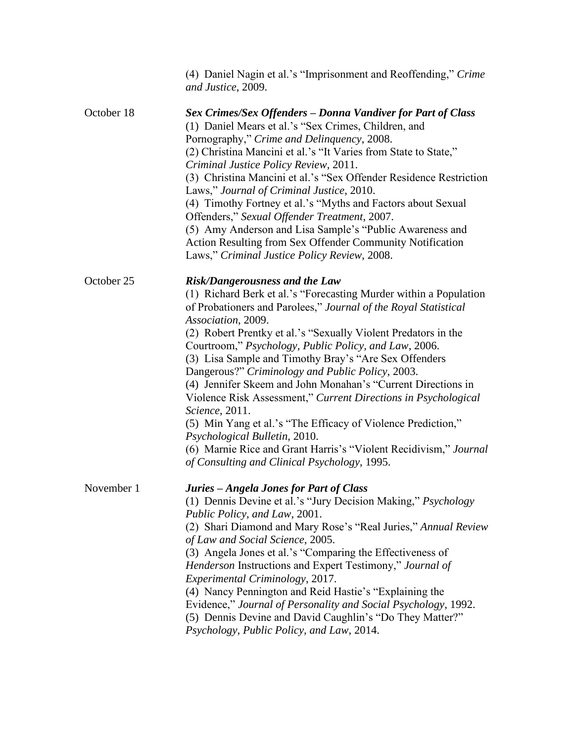|            | (4) Daniel Nagin et al.'s "Imprisonment and Reoffending," Crime<br>and Justice, 2009.                                                                                                                                                                                                                                                                                                                                                                                                                                                                                                                                                                                                                                                                                                                         |
|------------|---------------------------------------------------------------------------------------------------------------------------------------------------------------------------------------------------------------------------------------------------------------------------------------------------------------------------------------------------------------------------------------------------------------------------------------------------------------------------------------------------------------------------------------------------------------------------------------------------------------------------------------------------------------------------------------------------------------------------------------------------------------------------------------------------------------|
| October 18 | Sex Crimes/Sex Offenders - Donna Vandiver for Part of Class<br>(1) Daniel Mears et al.'s "Sex Crimes, Children, and<br>Pornography," Crime and Delinquency, 2008.<br>(2) Christina Mancini et al.'s "It Varies from State to State,"<br>Criminal Justice Policy Review, 2011.<br>(3) Christina Mancini et al.'s "Sex Offender Residence Restriction<br>Laws," Journal of Criminal Justice, 2010.<br>(4) Timothy Fortney et al.'s "Myths and Factors about Sexual<br>Offenders," Sexual Offender Treatment, 2007.<br>(5) Amy Anderson and Lisa Sample's "Public Awareness and<br>Action Resulting from Sex Offender Community Notification<br>Laws," Criminal Justice Policy Review, 2008.                                                                                                                     |
| October 25 | Risk/Dangerousness and the Law<br>(1) Richard Berk et al.'s "Forecasting Murder within a Population<br>of Probationers and Parolees," Journal of the Royal Statistical<br>Association, 2009.<br>(2) Robert Prentky et al.'s "Sexually Violent Predators in the<br>Courtroom," Psychology, Public Policy, and Law, 2006.<br>(3) Lisa Sample and Timothy Bray's "Are Sex Offenders<br>Dangerous?" Criminology and Public Policy, 2003.<br>(4) Jennifer Skeem and John Monahan's "Current Directions in<br>Violence Risk Assessment," Current Directions in Psychological<br>Science, 2011.<br>(5) Min Yang et al.'s "The Efficacy of Violence Prediction,"<br>Psychological Bulletin, 2010.<br>(6) Marnie Rice and Grant Harris's "Violent Recidivism," Journal<br>of Consulting and Clinical Psychology, 1995. |
| November 1 | Juries - Angela Jones for Part of Class<br>(1) Dennis Devine et al.'s "Jury Decision Making," Psychology<br>Public Policy, and Law, 2001.<br>(2) Shari Diamond and Mary Rose's "Real Juries," Annual Review<br>of Law and Social Science, 2005.<br>(3) Angela Jones et al.'s "Comparing the Effectiveness of<br>Henderson Instructions and Expert Testimony," Journal of<br>Experimental Criminology, 2017.<br>(4) Nancy Pennington and Reid Hastie's "Explaining the<br>Evidence," Journal of Personality and Social Psychology, 1992.<br>(5) Dennis Devine and David Caughlin's "Do They Matter?"<br>Psychology, Public Policy, and Law, 2014.                                                                                                                                                              |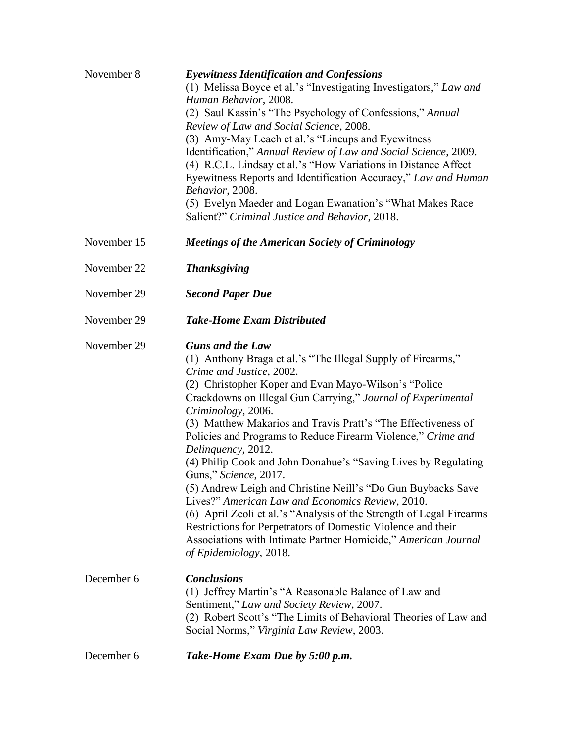| November 8  | <b>Eyewitness Identification and Confessions</b><br>(1) Melissa Boyce et al.'s "Investigating Investigators," Law and<br>Human Behavior, 2008.<br>(2) Saul Kassin's "The Psychology of Confessions," Annual<br>Review of Law and Social Science, 2008.<br>(3) Amy-May Leach et al.'s "Lineups and Eyewitness<br>Identification," Annual Review of Law and Social Science, 2009.<br>(4) R.C.L. Lindsay et al.'s "How Variations in Distance Affect<br>Eyewitness Reports and Identification Accuracy," Law and Human<br>Behavior, 2008.<br>(5) Evelyn Maeder and Logan Ewanation's "What Makes Race<br>Salient?" Criminal Justice and Behavior, 2018.                                                                                                                                                                                                                         |
|-------------|------------------------------------------------------------------------------------------------------------------------------------------------------------------------------------------------------------------------------------------------------------------------------------------------------------------------------------------------------------------------------------------------------------------------------------------------------------------------------------------------------------------------------------------------------------------------------------------------------------------------------------------------------------------------------------------------------------------------------------------------------------------------------------------------------------------------------------------------------------------------------|
| November 15 | <b>Meetings of the American Society of Criminology</b>                                                                                                                                                                                                                                                                                                                                                                                                                                                                                                                                                                                                                                                                                                                                                                                                                       |
| November 22 | <b>Thanksgiving</b>                                                                                                                                                                                                                                                                                                                                                                                                                                                                                                                                                                                                                                                                                                                                                                                                                                                          |
| November 29 | <b>Second Paper Due</b>                                                                                                                                                                                                                                                                                                                                                                                                                                                                                                                                                                                                                                                                                                                                                                                                                                                      |
| November 29 | <b>Take-Home Exam Distributed</b>                                                                                                                                                                                                                                                                                                                                                                                                                                                                                                                                                                                                                                                                                                                                                                                                                                            |
| November 29 | <b>Guns and the Law</b><br>(1) Anthony Braga et al.'s "The Illegal Supply of Firearms,"<br>Crime and Justice, 2002.<br>(2) Christopher Koper and Evan Mayo-Wilson's "Police"<br>Crackdowns on Illegal Gun Carrying," Journal of Experimental<br>Criminology, 2006.<br>(3) Matthew Makarios and Travis Pratt's "The Effectiveness of<br>Policies and Programs to Reduce Firearm Violence," Crime and<br>Delinquency, 2012.<br>(4) Philip Cook and John Donahue's "Saving Lives by Regulating<br>Guns," Science, 2017.<br>(5) Andrew Leigh and Christine Neill's "Do Gun Buybacks Save<br>Lives?" American Law and Economics Review, 2010.<br>(6) April Zeoli et al.'s "Analysis of the Strength of Legal Firearms<br>Restrictions for Perpetrators of Domestic Violence and their<br>Associations with Intimate Partner Homicide," American Journal<br>of Epidemiology, 2018. |
| December 6  | <b>Conclusions</b><br>(1) Jeffrey Martin's "A Reasonable Balance of Law and<br>Sentiment," Law and Society Review, 2007.<br>(2) Robert Scott's "The Limits of Behavioral Theories of Law and<br>Social Norms," Virginia Law Review, 2003.                                                                                                                                                                                                                                                                                                                                                                                                                                                                                                                                                                                                                                    |
| December 6  | Take-Home Exam Due by 5:00 p.m.                                                                                                                                                                                                                                                                                                                                                                                                                                                                                                                                                                                                                                                                                                                                                                                                                                              |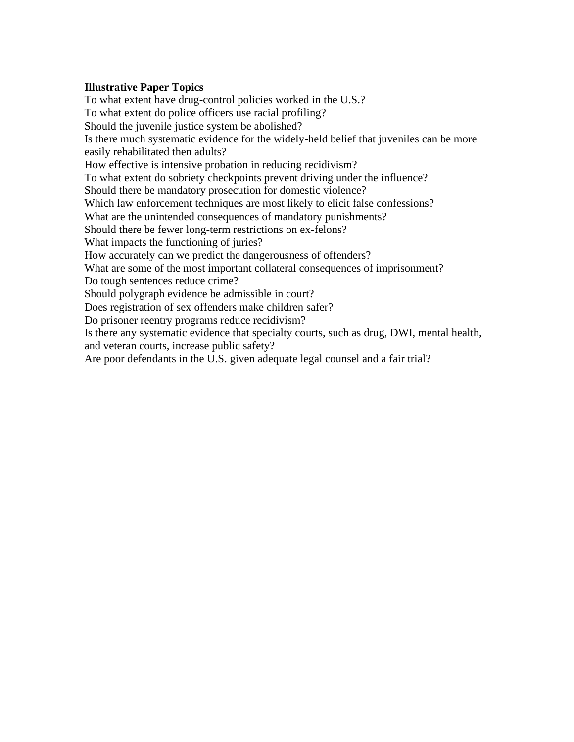#### **Illustrative Paper Topics**

To what extent have drug-control policies worked in the U.S.? To what extent do police officers use racial profiling? Should the juvenile justice system be abolished? Is there much systematic evidence for the widely-held belief that juveniles can be more easily rehabilitated then adults? How effective is intensive probation in reducing recidivism? To what extent do sobriety checkpoints prevent driving under the influence? Should there be mandatory prosecution for domestic violence? Which law enforcement techniques are most likely to elicit false confessions? What are the unintended consequences of mandatory punishments? Should there be fewer long-term restrictions on ex-felons? What impacts the functioning of juries? How accurately can we predict the dangerousness of offenders? What are some of the most important collateral consequences of imprisonment? Do tough sentences reduce crime? Should polygraph evidence be admissible in court? Does registration of sex offenders make children safer? Do prisoner reentry programs reduce recidivism? Is there any systematic evidence that specialty courts, such as drug, DWI, mental health, and veteran courts, increase public safety? Are poor defendants in the U.S. given adequate legal counsel and a fair trial?